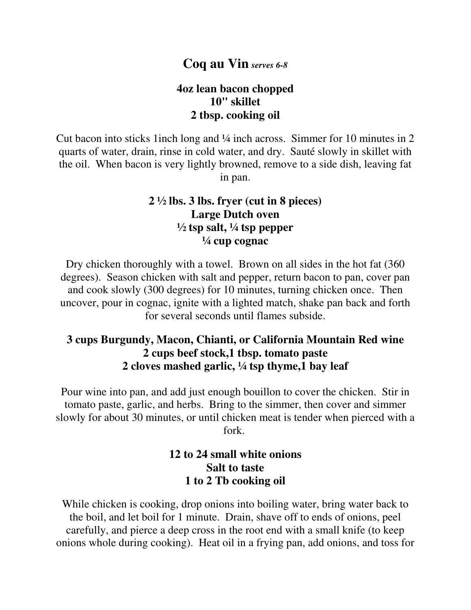# **Coq au Vin** *serves 6-8*

#### **4oz lean bacon chopped 10" skillet 2 tbsp. cooking oil**

Cut bacon into sticks 1inch long and ¼ inch across. Simmer for 10 minutes in 2 quarts of water, drain, rinse in cold water, and dry. Sauté slowly in skillet with the oil. When bacon is very lightly browned, remove to a side dish, leaving fat in pan.

#### **2 ½ lbs. 3 lbs. fryer (cut in 8 pieces) Large Dutch oven**   $\frac{1}{2}$  tsp salt,  $\frac{1}{4}$  tsp pepper **¼ cup cognac**

Dry chicken thoroughly with a towel. Brown on all sides in the hot fat (360 degrees). Season chicken with salt and pepper, return bacon to pan, cover pan and cook slowly (300 degrees) for 10 minutes, turning chicken once. Then uncover, pour in cognac, ignite with a lighted match, shake pan back and forth for several seconds until flames subside.

## **3 cups Burgundy, Macon, Chianti, or California Mountain Red wine 2 cups beef stock,1 tbsp. tomato paste 2 cloves mashed garlic, ¼ tsp thyme,1 bay leaf**

Pour wine into pan, and add just enough bouillon to cover the chicken. Stir in tomato paste, garlic, and herbs. Bring to the simmer, then cover and simmer slowly for about 30 minutes, or until chicken meat is tender when pierced with a fork.

## **12 to 24 small white onions Salt to taste 1 to 2 Tb cooking oil**

While chicken is cooking, drop onions into boiling water, bring water back to the boil, and let boil for 1 minute. Drain, shave off to ends of onions, peel carefully, and pierce a deep cross in the root end with a small knife (to keep onions whole during cooking). Heat oil in a frying pan, add onions, and toss for